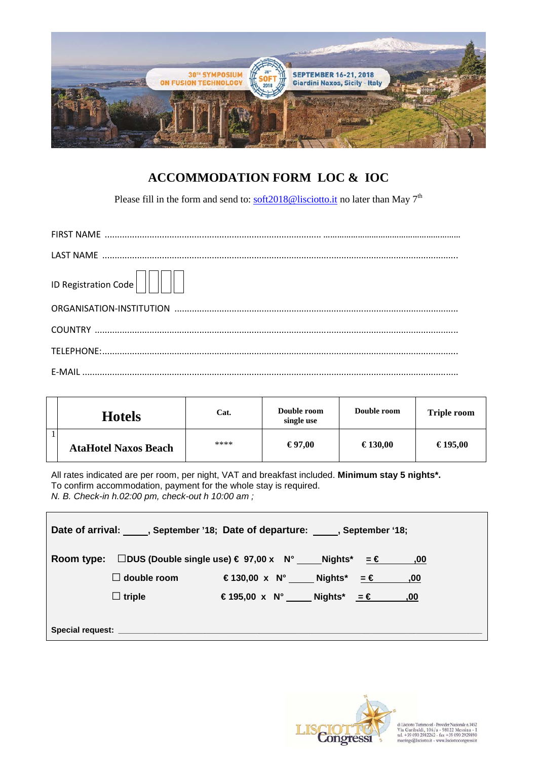

## **ACCOMMODATION FORM LOC & IOC**

Please fill in the form and send to:  $\frac{\text{soft2018@lisciotto.it}}{\text{60}}$  no later than May 7<sup>th</sup>

| ID Registration Code |
|----------------------|
|                      |
|                      |
|                      |
|                      |

| <b>Hotels</b>               | Cat. | Double room<br>single use | Double room | <b>Triple room</b> |
|-----------------------------|------|---------------------------|-------------|--------------------|
| <b>AtaHotel Naxos Beach</b> | **** | $\epsilon$ 97.00          | € 130,00    | € 195,00           |

All rates indicated are per room, per night, VAT and breakfast included. **Minimum stay 5 nights\*.** To confirm accommodation, payment for the whole stay is required. N. B. Check-in h.02:00 pm, check-out h 10:00 am ;

| Date of arrival: , September '18; Date of departure: , September '18;                      |                                               |  |
|--------------------------------------------------------------------------------------------|-----------------------------------------------|--|
| Room type: $\Box$ DUS (Double single use) $\in$ 97,00 x N° _____ Nights* = $\in$ ______,00 |                                               |  |
| $\Box$ double room                                                                         | € 130,00 x N°_____ Nights* <del>_ €</del> ,00 |  |
| $\Box$ triple                                                                              | € 195,00 x N° Nights* = € ,00                 |  |
|                                                                                            |                                               |  |
|                                                                                            |                                               |  |



di Lisciotto Turismo stl - Provider Nazionale n.1452<br>Via Garibaldi, 106/a - 98122 Messina - I<br>tel. +39 090 2982262 - fax +39 090 2929890<br>meetings@lisciotto.it - www.lisciottocongressi.it